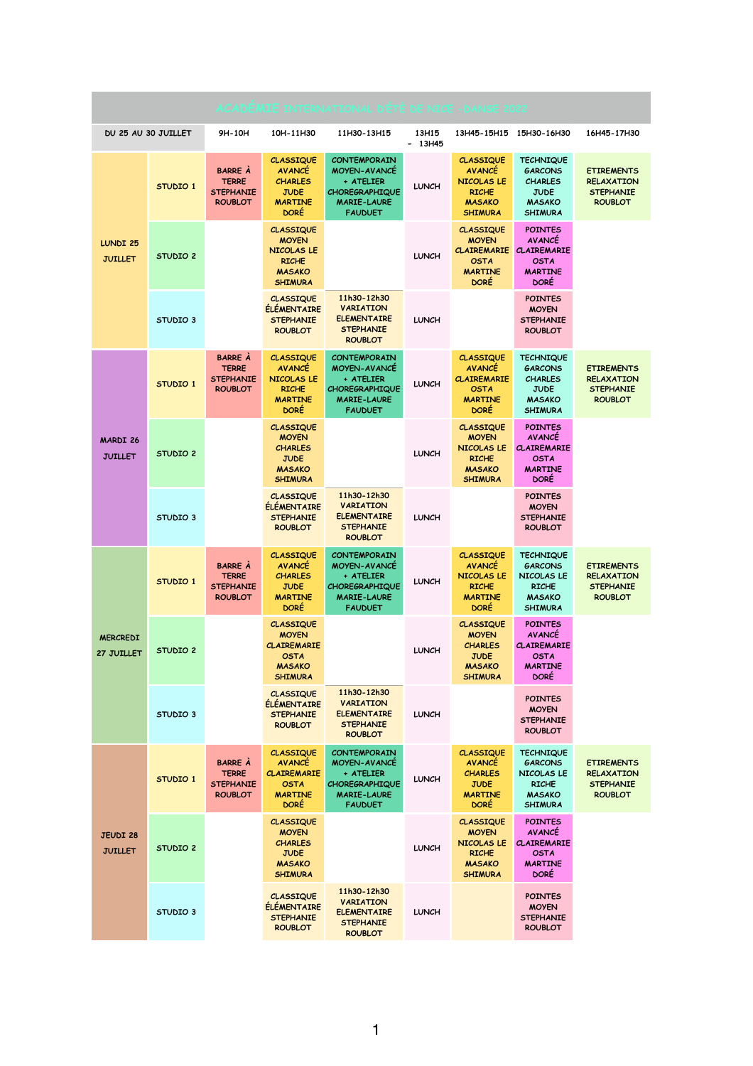| ACADEMIE INTERNATIONAL D'ÉTÉ DE NICE - DANSE 2022 |                     |                                                                      |                                                                                                          |                                                                                                                          |                   |                                                                                                         |                                                                                                        |                                                                              |  |
|---------------------------------------------------|---------------------|----------------------------------------------------------------------|----------------------------------------------------------------------------------------------------------|--------------------------------------------------------------------------------------------------------------------------|-------------------|---------------------------------------------------------------------------------------------------------|--------------------------------------------------------------------------------------------------------|------------------------------------------------------------------------------|--|
| DU 25 AU 30 JUILLET                               |                     | 9H-10H                                                               | 10H-11H30                                                                                                | 11H30-13H15                                                                                                              | 13H15<br>$-13H45$ | 13H45-15H15                                                                                             | 15H30-16H30                                                                                            | 16H45-17H30                                                                  |  |
| <b>LUNDI 25</b><br><b>JUILLET</b>                 | STUDIO 1            | <b>BARRE À</b><br><b>TERRE</b><br><b>STEPHANIE</b><br><b>ROUBLOT</b> | <b>CLASSIQUE</b><br><b>AVANCE</b><br><b>CHARLES</b><br><b>JUDE</b><br><b>MARTINE</b><br><b>DORE</b>      | <b>CONTEMPORAIN</b><br><b>MOYEN-AVANCE</b><br>+ ATELIER<br><b>CHOREGRAPHIQUE</b><br><b>MARIE-LAURE</b><br><b>FAUDUET</b> | <b>LUNCH</b>      | <b>CLASSIQUE</b><br><b>AVANCE</b><br>NICOLAS LE<br><b>RICHE</b><br><b>MASAKO</b><br><b>SHIMURA</b>      | <b>TECHNIQUE</b><br><b>GARCONS</b><br><b>CHARLES</b><br><b>JUDE</b><br><b>MASAKO</b><br><b>SHIMURA</b> | <b>ETIREMENTS</b><br><b>RELAXATION</b><br><b>STEPHANIE</b><br><b>ROUBLOT</b> |  |
|                                                   | STUDIO <sub>2</sub> |                                                                      | <b>CLASSIQUE</b><br><b>MOYEN</b><br>NICOLAS LE<br><b>RICHE</b><br><b>MASAKO</b><br><b>SHIMURA</b>        |                                                                                                                          | <b>LUNCH</b>      | <b>CLASSIQUE</b><br><b>MOYEN</b><br><b>CLAIREMARIE</b><br><b>OSTA</b><br><b>MARTINE</b><br><b>DORE</b>  | <b>POINTES</b><br><b>AVANCE</b><br><b>CLAIREMARIE</b><br><b>OSTA</b><br><b>MARTINE</b><br><b>DORE</b>  |                                                                              |  |
|                                                   | STUDIO <sub>3</sub> |                                                                      | <b>CLASSIQUE</b><br><b>ELEMENTAIRE</b><br><b>STEPHANIE</b><br><b>ROUBLOT</b>                             | 11h30-12h30<br><b>VARIATION</b><br><b>ELEMENTAIRE</b><br><b>STEPHANIE</b><br><b>ROUBLOT</b>                              | <b>LUNCH</b>      |                                                                                                         | <b>POINTES</b><br><b>MOYEN</b><br><b>STEPHANIE</b><br><b>ROUBLOT</b>                                   |                                                                              |  |
| <b>MARDI 26</b><br><b>JUILLET</b>                 | STUDIO 1            | <b>BARRE A</b><br><b>TERRE</b><br><b>STEPHANIE</b><br><b>ROUBLOT</b> | <b>CLASSIQUE</b><br><b>AVANCE</b><br>NICOLAS LE<br><b>RICHE</b><br><b>MARTINE</b><br><b>DORE</b>         | <b>CONTEMPORAIN</b><br><b>MOYEN-AVANCE</b><br>+ ATELIER<br><b>CHOREGRAPHIQUE</b><br>MARIE-LAURE<br><b>FAUDUET</b>        | <b>LUNCH</b>      | <b>CLASSIQUE</b><br><b>AVANCE</b><br><b>CLAIREMARIE</b><br><b>OSTA</b><br><b>MARTINE</b><br><b>DORE</b> | <b>TECHNIQUE</b><br><b>GARCONS</b><br><b>CHARLES</b><br><b>JUDE</b><br><b>MASAKO</b><br><b>SHIMURA</b> | <b>ETIREMENTS</b><br><b>RELAXATION</b><br><b>STEPHANIE</b><br><b>ROUBLOT</b> |  |
|                                                   | STUDIO <sub>2</sub> |                                                                      | <b>CLASSIQUE</b><br><b>MOYEN</b><br><b>CHARLES</b><br><b>JUDE</b><br><b>MASAKO</b><br><b>SHIMURA</b>     |                                                                                                                          | <b>LUNCH</b>      | <b>CLASSIQUE</b><br><b>MOYEN</b><br>NICOLAS LE<br><b>RICHE</b><br><b>MASAKO</b><br><b>SHIMURA</b>       | <b>POINTES</b><br><b>AVANCE</b><br><b>CLAIREMARIE</b><br><b>OSTA</b><br><b>MARTINE</b><br><b>DORE</b>  |                                                                              |  |
|                                                   | STUDIO <sub>3</sub> |                                                                      | <b>CLASSIQUE</b><br><b>ELEMENTAIRE</b><br><b>STEPHANIE</b><br><b>ROUBLOT</b>                             | 11h30-12h30<br><b>VARIATION</b><br><b>ELEMENTAIRE</b><br><b>STEPHANIE</b><br><b>ROUBLOT</b>                              | <b>LUNCH</b>      |                                                                                                         | <b>POINTES</b><br><b>MOYEN</b><br><b>STEPHANIE</b><br><b>ROUBLOT</b>                                   |                                                                              |  |
| <b>MERCREDI</b><br>27 JUILLET                     | STUDIO 1            | <b>BARRE À</b><br><b>TERRE</b><br><b>STEPHANIE</b><br><b>ROUBLOT</b> | <b>CLASSIQUE</b><br><b>AVANCE</b><br><b>CHARLES</b><br><b>JUDE</b><br><b>MARTINE</b><br><b>DORE</b>      | <b>CONTEMPORAIN</b><br><b>MOYEN-AVANCE</b><br>+ ATELIER<br><b>CHOREGRAPHIQUE</b><br><b>MARIE-LAURE</b><br><b>FAUDUET</b> | <b>LUNCH</b>      | <b>CLASSIQUE</b><br><b>AVANCE</b><br><b>NICOLAS LE</b><br><b>RICHE</b><br><b>MARTINE</b><br><b>DORE</b> | <b>TECHNIQUE</b><br><b>GARCONS</b><br>NICOLAS LE<br><b>RICHE</b><br><b>MASAKO</b><br><b>SHIMURA</b>    | <b>ETIREMENTS</b><br><b>RELAXATION</b><br><b>STEPHANIE</b><br><b>ROUBLOT</b> |  |
|                                                   | STUDIO 2            |                                                                      | <b>CLASSIQUE</b><br><b>MOYEN</b><br><b>CLAIREMARIE</b><br><b>OSTA</b><br><b>MASAKO</b><br><b>SHIMURA</b> |                                                                                                                          | <b>LUNCH</b>      | <b>CLASSIQUE</b><br><b>MOYEN</b><br><b>CHARLES</b><br><b>JUDE</b><br><b>MASAKO</b><br><b>SHIMURA</b>    | <b>POINTES</b><br><b>AVANCE</b><br><b>CLAIREMARIE</b><br><b>OSTA</b><br><b>MARTINE</b><br><b>DORE</b>  |                                                                              |  |
|                                                   | STUDIO <sub>3</sub> |                                                                      | <b>CLASSIQUE</b><br><b>ÉLÉMENTAIRE</b><br><b>STEPHANIE</b><br><b>ROUBLOT</b>                             | 11h30-12h30<br><b>VARIATION</b><br><b>ELEMENTAIRE</b><br><b>STEPHANIE</b><br><b>ROUBLOT</b>                              | <b>LUNCH</b>      |                                                                                                         | <b>POINTES</b><br><b>MOYEN</b><br><b>STEPHANIE</b><br><b>ROUBLOT</b>                                   |                                                                              |  |
| <b>JEUDI 28</b><br><b>JUILLET</b>                 | STUDIO 1            | <b>BARRE À</b><br><b>TERRE</b><br><b>STEPHANIE</b><br><b>ROUBLOT</b> | <b>CLASSIQUE</b><br><b>AVANCE</b><br><b>CLAIREMARIE</b><br><b>OSTA</b><br><b>MARTINE</b><br><b>DORE</b>  | <b>CONTEMPORAIN</b><br><b>MOYEN-AVANCE</b><br>+ ATELIER<br><b>CHOREGRAPHIQUE</b><br><b>MARIE-LAURE</b><br><b>FAUDUET</b> | <b>LUNCH</b>      | <b>CLASSIQUE</b><br><b>AVANCE</b><br><b>CHARLES</b><br><b>JUDE</b><br><b>MARTINE</b><br><b>DORE</b>     | <b>TECHNIQUE</b><br><b>GARCONS</b><br>NICOLAS LE<br><b>RICHE</b><br><b>MASAKO</b><br><b>SHIMURA</b>    | <b>ETIREMENTS</b><br><b>RELAXATION</b><br><b>STEPHANIE</b><br><b>ROUBLOT</b> |  |
|                                                   | STUDIO <sub>2</sub> |                                                                      | <b>CLASSIQUE</b><br><b>MOYEN</b><br><b>CHARLES</b><br><b>JUDE</b><br><b>MASAKO</b><br><b>SHIMURA</b>     |                                                                                                                          | <b>LUNCH</b>      | <b>CLASSIQUE</b><br><b>MOYEN</b><br>NICOLAS LE<br><b>RICHE</b><br><b>MASAKO</b><br><b>SHIMURA</b>       | <b>POINTES</b><br><b>AVANCE</b><br><b>CLAIREMARIE</b><br><b>OSTA</b><br><b>MARTINE</b><br><b>DORE</b>  |                                                                              |  |
|                                                   | STUDIO <sub>3</sub> |                                                                      | <b>CLASSIQUE</b><br><b>ELEMENTAIRE</b><br><b>STEPHANIE</b><br><b>ROUBLOT</b>                             | 11h30-12h30<br><b>VARIATION</b><br><b>ELEMENTAIRE</b><br><b>STEPHANIE</b><br><b>ROUBLOT</b>                              | <b>LUNCH</b>      |                                                                                                         | <b>POINTES</b><br><b>MOYEN</b><br><b>STEPHANIE</b><br><b>ROUBLOT</b>                                   |                                                                              |  |